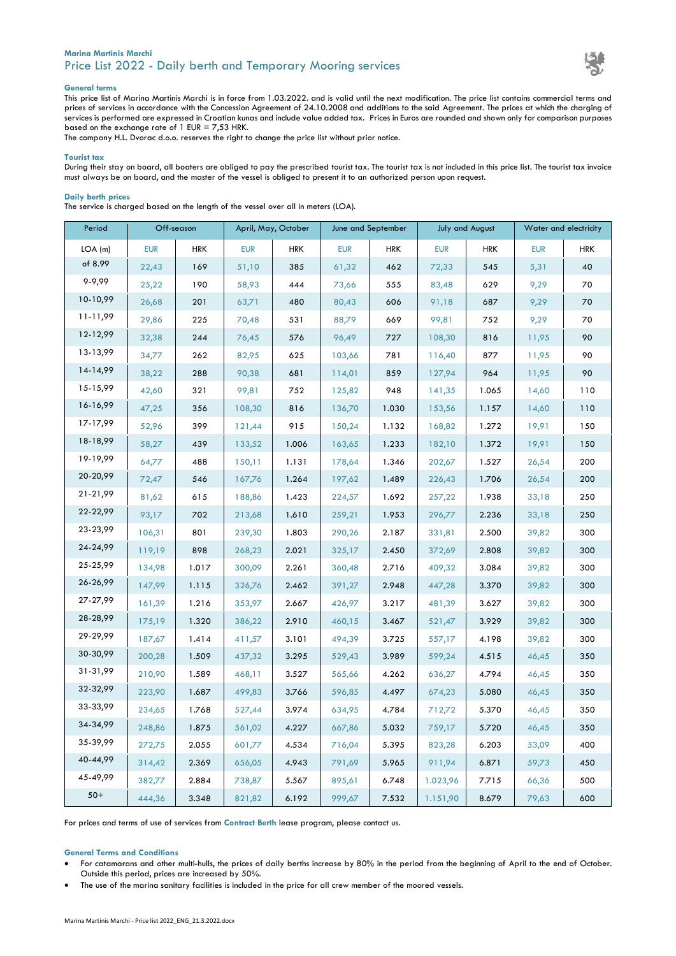# **Marina Martinis Marchi** Price List 2022 - Daily berth and Temporary Mooring services



### **General terms**

This price list of Marina Martinis Marchi is in force from 1.03.2022. and is valid until the next modification. The price list contains commercial terms and prices of services in accordance with the Concession Agreement of 24.10.2008 and additions to the said Agreement. The prices at which the charging of services is performed are expressed in Croatian kunas and include value added tax. Prices in Euros are rounded and shown only for comparison purposes based on the exchange rate of 1 EUR = 7,53 HRK.

The company H.L. Dvorac d.o.o. reserves the right to change the price list without prior notice.

## **Tourist tax**

During their stay on board, all boaters are obliged to pay the prescribed tourist tax. The tourist tax is not included in this price list. The tourist tax invoice must always be on board, and the master of the vessel is obliged to present it to an authorized person upon request.

## **Daily berth prices**

The service is charged based on the length of the vessel over all in meters (LOA).

| Period   | Off-season |            | April, May, October |            | June and September |            | <b>July and August</b> |            | Water and electricity |            |
|----------|------------|------------|---------------------|------------|--------------------|------------|------------------------|------------|-----------------------|------------|
| LOA(m)   | <b>EUR</b> | <b>HRK</b> | <b>EUR</b>          | <b>HRK</b> | <b>EUR</b>         | <b>HRK</b> | <b>EUR</b>             | <b>HRK</b> | <b>EUR</b>            | <b>HRK</b> |
| of 8.99  | 22,43      | 169        | 51,10               | 385        | 61,32              | 462        | 72,33                  | 545        | 5,31                  | 40         |
| 9-9,99   | 25,22      | 190        | 58,93               | 444        | 73,66              | 555        | 83,48                  | 629        | 9,29                  | 70         |
| 10-10,99 | 26,68      | 201        | 63,71               | 480        | 80,43              | 606        | 91,18                  | 687        | 9,29                  | 70         |
| 11-11,99 | 29,86      | 225        | 70,48               | 531        | 88,79              | 669        | 99,81                  | 752        | 9,29                  | 70         |
| 12-12,99 | 32,38      | 244        | 76,45               | 576        | 96,49              | 727        | 108,30                 | 816        | 11,95                 | 90         |
| 13-13,99 | 34,77      | 262        | 82,95               | 625        | 103,66             | 781        | 116,40                 | 877        | 11,95                 | 90         |
| 14-14,99 | 38,22      | 288        | 90,38               | 681        | 114,01             | 859        | 127,94                 | 964        | 11,95                 | 90         |
| 15-15,99 | 42,60      | 321        | 99,81               | 752        | 125,82             | 948        | 141,35                 | 1.065      | 14,60                 | 110        |
| 16-16,99 | 47,25      | 356        | 108,30              | 816        | 136,70             | 1.030      | 153,56                 | 1.157      | 14,60                 | 110        |
| 17-17,99 | 52,96      | 399        | 121,44              | 915        | 150,24             | 1.132      | 168,82                 | 1.272      | 19,91                 | 150        |
| 18-18,99 | 58,27      | 439        | 133,52              | 1.006      | 163,65             | 1.233      | 182,10                 | 1.372      | 19,91                 | 150        |
| 19-19,99 | 64,77      | 488        | 150,11              | 1.131      | 178,64             | 1.346      | 202,67                 | 1.527      | 26,54                 | 200        |
| 20-20,99 | 72,47      | 546        | 167,76              | 1.264      | 197,62             | 1.489      | 226,43                 | 1.706      | 26,54                 | 200        |
| 21-21,99 | 81,62      | 615        | 188,86              | 1.423      | 224,57             | 1.692      | 257,22                 | 1.938      | 33,18                 | 250        |
| 22-22,99 | 93,17      | 702        | 213,68              | 1.610      | 259,21             | 1.953      | 296,77                 | 2.236      | 33,18                 | 250        |
| 23-23,99 | 106,31     | 801        | 239,30              | 1.803      | 290,26             | 2.187      | 331,81                 | 2.500      | 39,82                 | 300        |
| 24-24,99 | 119,19     | 898        | 268,23              | 2.021      | 325,17             | 2.450      | 372,69                 | 2.808      | 39,82                 | 300        |
| 25-25,99 | 134,98     | 1.017      | 300,09              | 2.261      | 360,48             | 2.716      | 409,32                 | 3.084      | 39,82                 | 300        |
| 26-26,99 | 147,99     | 1.115      | 326,76              | 2.462      | 391,27             | 2.948      | 447,28                 | 3.370      | 39,82                 | 300        |
| 27-27,99 | 161,39     | 1.216      | 353,97              | 2.667      | 426,97             | 3.217      | 481,39                 | 3.627      | 39,82                 | 300        |
| 28-28,99 | 175,19     | 1.320      | 386,22              | 2.910      | 460,15             | 3.467      | 521,47                 | 3.929      | 39,82                 | 300        |
| 29-29,99 | 187,67     | 1.414      | 411,57              | 3.101      | 494,39             | 3.725      | 557,17                 | 4.198      | 39,82                 | 300        |
| 30-30,99 | 200,28     | 1.509      | 437,32              | 3.295      | 529,43             | 3.989      | 599,24                 | 4.515      | 46,45                 | 350        |
| 31-31,99 | 210,90     | 1.589      | 468,11              | 3.527      | 565,66             | 4.262      | 636,27                 | 4.794      | 46,45                 | 350        |
| 32-32,99 | 223,90     | 1.687      | 499,83              | 3.766      | 596,85             | 4.497      | 674,23                 | 5.080      | 46,45                 | 350        |
| 33-33,99 | 234,65     | 1.768      | 527,44              | 3.974      | 634,95             | 4.784      | 712,72                 | 5.370      | 46,45                 | 350        |
| 34-34,99 | 248,86     | 1.875      | 561,02              | 4.227      | 667,86             | 5.032      | 759,17                 | 5.720      | 46,45                 | 350        |
| 35-39,99 | 272,75     | 2.055      | 601,77              | 4.534      | 716,04             | 5.395      | 823,28                 | 6.203      | 53,09                 | 400        |
| 40-44,99 | 314,42     | 2.369      | 656,05              | 4.943      | 791,69             | 5.965      | 911,94                 | 6.871      | 59,73                 | 450        |
| 45-49,99 | 382,77     | 2.884      | 738,87              | 5.567      | 895,61             | 6.748      | 1.023,96               | 7.715      | 66,36                 | 500        |
| $50+$    | 444,36     | 3.348      | 821,82              | 6.192      | 999,67             | 7.532      | 1.151,90               | 8.679      | 79,63                 | 600        |

For prices and terms of use of services from **Contract Berth** lease program, please contact us.

## **General Terms and Conditions**

- For catamarans and other multi-hulls, the prices of daily berths increase by 80% in the period from the beginning of April to the end of October. Outside this period, prices are increased by 50%.
- The use of the marina sanitary facilities is included in the price for all crew member of the moored vessels.